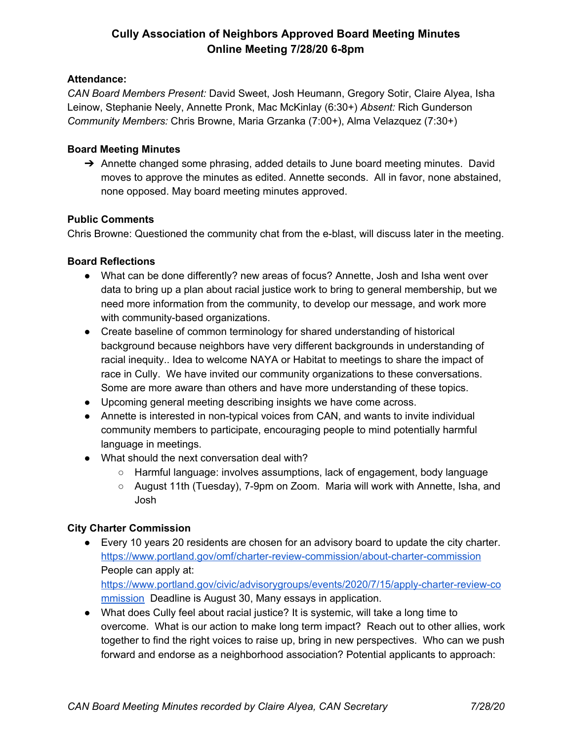# **Cully Association of Neighbors Approved Board Meeting Minutes Online Meeting 7/28/20 6-8pm**

### **Attendance:**

*CAN Board Members Present:* David Sweet, Josh Heumann, Gregory Sotir, Claire Alyea, Isha Leinow, Stephanie Neely, Annette Pronk, Mac McKinlay (6:30+) *Absent:* Rich Gunderson *Community Members:* Chris Browne, Maria Grzanka (7:00+), Alma Velazquez (7:30+)

## **Board Meeting Minutes**

➔ Annette changed some phrasing, added details to June board meeting minutes. David moves to approve the minutes as edited. Annette seconds. All in favor, none abstained, none opposed. May board meeting minutes approved.

### **Public Comments**

Chris Browne: Questioned the community chat from the e-blast, will discuss later in the meeting.

### **Board Reflections**

- What can be done differently? new areas of focus? Annette, Josh and Isha went over data to bring up a plan about racial justice work to bring to general membership, but we need more information from the community, to develop our message, and work more with community-based organizations.
- Create baseline of common terminology for shared understanding of historical background because neighbors have very different backgrounds in understanding of racial inequity.. Idea to welcome NAYA or Habitat to meetings to share the impact of race in Cully. We have invited our community organizations to these conversations. Some are more aware than others and have more understanding of these topics.
- Upcoming general meeting describing insights we have come across.
- Annette is interested in non-typical voices from CAN, and wants to invite individual community members to participate, encouraging people to mind potentially harmful language in meetings.
- What should the next conversation deal with?
	- Harmful language: involves assumptions, lack of engagement, body language
	- August 11th (Tuesday), 7-9pm on Zoom. Maria will work with Annette, Isha, and Josh

# **City Charter Commission**

- Every 10 years 20 residents are chosen for an advisory board to update the city charter. <https://www.portland.gov/omf/charter-review-commission/about-charter-commission> People can apply at: [https://www.portland.gov/civic/advisorygroups/events/2020/7/15/apply-charter-review-co](https://www.portland.gov/civic/advisorygroups/events/2020/7/15/apply-charter-review-commission) [mmission](https://www.portland.gov/civic/advisorygroups/events/2020/7/15/apply-charter-review-commission) Deadline is August 30, Many essays in application.
- What does Cully feel about racial justice? It is systemic, will take a long time to overcome. What is our action to make long term impact? Reach out to other allies, work together to find the right voices to raise up, bring in new perspectives. Who can we push forward and endorse as a neighborhood association? Potential applicants to approach: